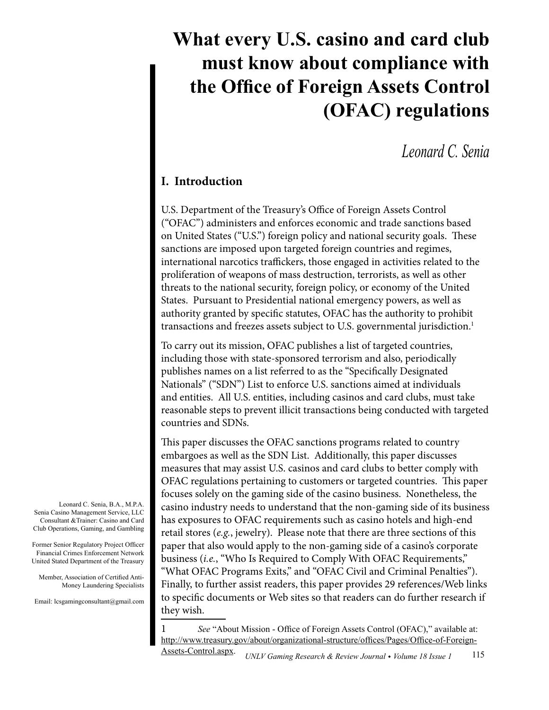# **What every U.S. casino and card club must know about compliance with the Office of Foreign Assets Control (OFAC) regulations**

# *Leonard C. Senia*

## **I. Introduction**

U.S. Department of the Treasury's Office of Foreign Assets Control ("OFAC") administers and enforces economic and trade sanctions based on United States ("U.S.") foreign policy and national security goals. These sanctions are imposed upon targeted foreign countries and regimes, international narcotics traffickers, those engaged in activities related to the proliferation of weapons of mass destruction, terrorists, as well as other threats to the national security, foreign policy, or economy of the United States. Pursuant to Presidential national emergency powers, as well as authority granted by specific statutes, OFAC has the authority to prohibit transactions and freezes assets subject to U.S. governmental jurisdiction.<sup>1</sup>

To carry out its mission, OFAC publishes a list of targeted countries, including those with state-sponsored terrorism and also, periodically publishes names on a list referred to as the "Specifically Designated Nationals" ("SDN") List to enforce U.S. sanctions aimed at individuals and entities. All U.S. entities, including casinos and card clubs, must take reasonable steps to prevent illicit transactions being conducted with targeted countries and SDNs.

This paper discusses the OFAC sanctions programs related to country embargoes as well as the SDN List. Additionally, this paper discusses measures that may assist U.S. casinos and card clubs to better comply with OFAC regulations pertaining to customers or targeted countries. This paper focuses solely on the gaming side of the casino business. Nonetheless, the casino industry needs to understand that the non-gaming side of its business has exposures to OFAC requirements such as casino hotels and high-end retail stores (*e.g.*, jewelry). Please note that there are three sections of this paper that also would apply to the non-gaming side of a casino's corporate business (*i.e.*, "Who Is Required to Comply With OFAC Requirements," "What OFAC Programs Exits," and "OFAC Civil and Criminal Penalties"). Finally, to further assist readers, this paper provides 29 references/Web links to specific documents or Web sites so that readers can do further research if they wish.

1 *See* "About Mission - Office of Foreign Assets Control (OFAC)," available at: [http://www.treasury.gov/about/organizational-structure/offices/Pages/Office-of-Foreign-](http://www.treasury.gov/about/organizational-structure/offices/Pages/Office-of-Foreign-Assets-Control.aspx)

[Assets-Control.aspx](http://www.treasury.gov/about/organizational-structure/offices/Pages/Office-of-Foreign-Assets-Control.aspx).

Leonard C. Senia, B.A., M.P.A. Senia Casino Management Service, LLC Consultant &Trainer: Casino and Card Club Operations, Gaming, and Gambling

Former Senior Regulatory Project Officer Financial Crimes Enforcement Network United Stated Department of the Treasury

Member, Association of Certified Anti-Money Laundering Specialists

Email: lcsgamingconsultant@gmail.com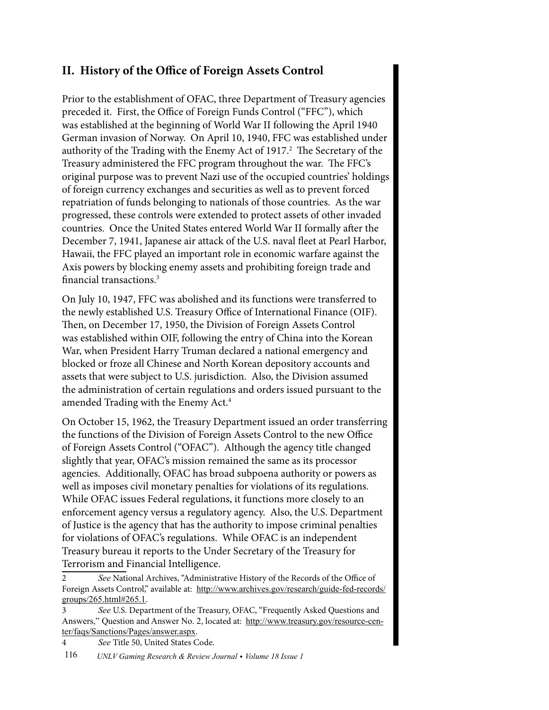# **II. History of the Office of Foreign Assets Control**

Prior to the establishment of OFAC, three Department of Treasury agencies preceded it. First, the Office of Foreign Funds Control ("FFC"), which was established at the beginning of World War II following the April 1940 German invasion of Norway. On April 10, 1940, FFC was established under authority of the Trading with the Enemy Act of 1917.<sup>2</sup> The Secretary of the Treasury administered the FFC program throughout the war. The FFC's original purpose was to prevent Nazi use of the occupied countries' holdings of foreign currency exchanges and securities as well as to prevent forced repatriation of funds belonging to nationals of those countries. As the war progressed, these controls were extended to protect assets of other invaded countries. Once the United States entered World War II formally after the December 7, 1941, Japanese air attack of the U.S. naval fleet at Pearl Harbor, Hawaii, the FFC played an important role in economic warfare against the Axis powers by blocking enemy assets and prohibiting foreign trade and financial transactions.3

On July 10, 1947, FFC was abolished and its functions were transferred to the newly established U.S. Treasury Office of International Finance (OIF). Then, on December 17, 1950, the Division of Foreign Assets Control was established within OIF, following the entry of China into the Korean War, when President Harry Truman declared a national emergency and blocked or froze all Chinese and North Korean depository accounts and assets that were subject to U.S. jurisdiction. Also, the Division assumed the administration of certain regulations and orders issued pursuant to the amended Trading with the Enemy Act.<sup>4</sup>

On October 15, 1962, the Treasury Department issued an order transferring the functions of the Division of Foreign Assets Control to the new Office of Foreign Assets Control ("OFAC"). Although the agency title changed slightly that year, OFAC's mission remained the same as its processor agencies. Additionally, OFAC has broad subpoena authority or powers as well as imposes civil monetary penalties for violations of its regulations. While OFAC issues Federal regulations, it functions more closely to an enforcement agency versus a regulatory agency. Also, the U.S. Department of Justice is the agency that has the authority to impose criminal penalties for violations of OFAC's regulations. While OFAC is an independent Treasury bureau it reports to the Under Secretary of the Treasury for Terrorism and Financial Intelligence.

2 *See* National Archives, "Administrative History of the Records of the Office of Foreign Assets Control," available at: http://www.archives.gov/research/guide-fed-records/ groups/265.html#265.1.

- 3 *See* U.S. Department of the Treasury, OFAC, "Frequently Asked Questions and Answers," Question and Answer No. 2, located at: [http://www.treasury.gov/resource-cen](http://www.treasury.gov/resource-center/faqs/Sanctions/Pages/answer.aspx)[ter/faqs/Sanctions/Pages/answer.aspx](http://www.treasury.gov/resource-center/faqs/Sanctions/Pages/answer.aspx).
- 4 *See* Title 50, United States Code.

116 *UNLV Gaming Research & Review Journal • Volume 18 Issue 1*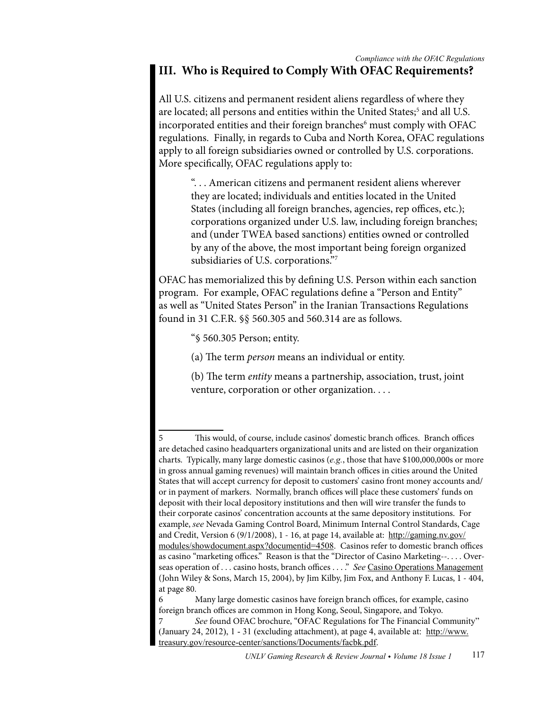## **III. Who is Required to Comply With OFAC Requirements?** *Compliance with the OFAC Regulations*

All U.S. citizens and permanent resident aliens regardless of where they are located; all persons and entities within the United States;<sup>5</sup> and all U.S. incorporated entities and their foreign branches<sup>6</sup> must comply with OFAC regulations. Finally, in regards to Cuba and North Korea, OFAC regulations apply to all foreign subsidiaries owned or controlled by U.S. corporations. More specifically, OFAC regulations apply to:

". . . American citizens and permanent resident aliens wherever they are located; individuals and entities located in the United States (including all foreign branches, agencies, rep offices, etc.); corporations organized under U.S. law, including foreign branches; and (under TWEA based sanctions) entities owned or controlled by any of the above, the most important being foreign organized subsidiaries of U.S. corporations."7

OFAC has memorialized this by defining U.S. Person within each sanction program. For example, OFAC regulations define a "Person and Entity" as well as "United States Person" in the Iranian Transactions Regulations found in 31 C.F.R. §§ 560.305 and 560.314 are as follows.

"§ 560.305 Person; entity.

(a) The term *person* means an individual or entity.

(b) The term *entity* means a partnership, association, trust, joint venture, corporation or other organization. . . .

<sup>5</sup> This would, of course, include casinos' domestic branch offices. Branch offices are detached casino headquarters organizational units and are listed on their organization charts. Typically, many large domestic casinos (*e.g.*, those that have \$100,000,000s or more in gross annual gaming revenues) will maintain branch offices in cities around the United States that will accept currency for deposit to customers' casino front money accounts and/ or in payment of markers. Normally, branch offices will place these customers' funds on deposit with their local depository institutions and then will wire transfer the funds to their corporate casinos' concentration accounts at the same depository institutions. For example, *see* Nevada Gaming Control Board, Minimum Internal Control Standards, Cage and Credit, Version 6 (9/1/2008), 1 - 16, at page 14, available at: [http://gaming.nv.gov/](http://gaming.nv.gov/modules/showdocument.aspx?documentid=4508) [modules/showdocument.aspx?documentid=4508](http://gaming.nv.gov/modules/showdocument.aspx?documentid=4508). Casinos refer to domestic branch offices as casino "marketing offices." Reason is that the "Director of Casino Marketing--.... Overseas operation of . . . casino hosts, branch offices . . . " *See* Casino Operations Management (John Wiley & Sons, March 15, 2004), by Jim Kilby, Jim Fox, and Anthony F. Lucas, 1 - 404, at page 80.

<sup>6</sup> Many large domestic casinos have foreign branch offices, for example, casino foreign branch offices are common in Hong Kong, Seoul, Singapore, and Tokyo.

See found OFAC brochure, "OFAC Regulations for The Financial Community" (January 24, 2012), 1 - 31 (excluding attachment), at page 4, available at: [http://www.](http://www.treasury.gov/resource-center/sanctions/Documents/facbk.pdf) [treasury.gov/resource-center/sanctions/Documents/facbk.pdf](http://www.treasury.gov/resource-center/sanctions/Documents/facbk.pdf).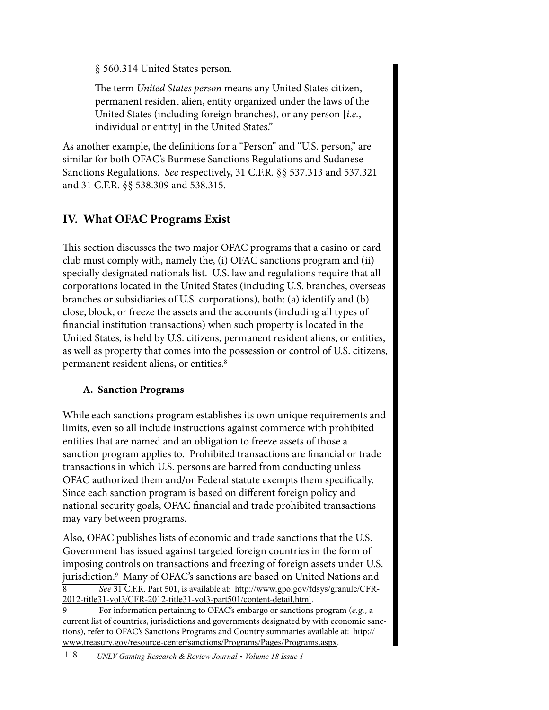§ 560.314 United States person.

The term *United States person* means any United States citizen, permanent resident alien, entity organized under the laws of the United States (including foreign branches), or any person [*i.e.*, individual or entity] in the United States."

As another example, the definitions for a "Person" and "U.S. person," are similar for both OFAC's Burmese Sanctions Regulations and Sudanese Sanctions Regulations. *See* respectively, 31 C.F.R. §§ 537.313 and 537.321 and 31 C.F.R. §§ 538.309 and 538.315.

# **IV. What OFAC Programs Exist**

This section discusses the two major OFAC programs that a casino or card club must comply with, namely the, (i) OFAC sanctions program and (ii) specially designated nationals list. U.S. law and regulations require that all corporations located in the United States (including U.S. branches, overseas branches or subsidiaries of U.S. corporations), both: (a) identify and (b) close, block, or freeze the assets and the accounts (including all types of financial institution transactions) when such property is located in the United States, is held by U.S. citizens, permanent resident aliens, or entities, as well as property that comes into the possession or control of U.S. citizens, permanent resident aliens, or entities.<sup>8</sup>

## **A. Sanction Programs**

While each sanctions program establishes its own unique requirements and limits, even so all include instructions against commerce with prohibited entities that are named and an obligation to freeze assets of those a sanction program applies to. Prohibited transactions are financial or trade transactions in which U.S. persons are barred from conducting unless OFAC authorized them and/or Federal statute exempts them specifically. Since each sanction program is based on different foreign policy and national security goals, OFAC financial and trade prohibited transactions may vary between programs.

Also, OFAC publishes lists of economic and trade sanctions that the U.S. Government has issued against targeted foreign countries in the form of imposing controls on transactions and freezing of foreign assets under U.S. jurisdiction.9 Many of OFAC's sanctions are based on United Nations and 8 *See* 31 C.F.R. Part 501, is available at: [http://www.gpo.gov/fdsys/granule/CFR-](http://www.gpo.gov/fdsys/granule/CFR-2012-title31-vol3/CFR-2012-title31-vol3-part501/content-detail.html)[2012-title31-vol3/CFR-2012-title31-vol3-part501/content-detail.html](http://www.gpo.gov/fdsys/granule/CFR-2012-title31-vol3/CFR-2012-title31-vol3-part501/content-detail.html).

<sup>9</sup> For information pertaining to OFAC's embargo or sanctions program (*e.g.*, a current list of countries, jurisdictions and governments designated by with economic sanctions), refer to OFAC's Sanctions Programs and Country summaries available at: [http://](http://www.treasury.gov/resource-center/sanctions/Programs/Pages/Programs.aspx) [www.treasury.gov/resource-center/sanctions/Programs/Pages/Programs.aspx](http://www.treasury.gov/resource-center/sanctions/Programs/Pages/Programs.aspx).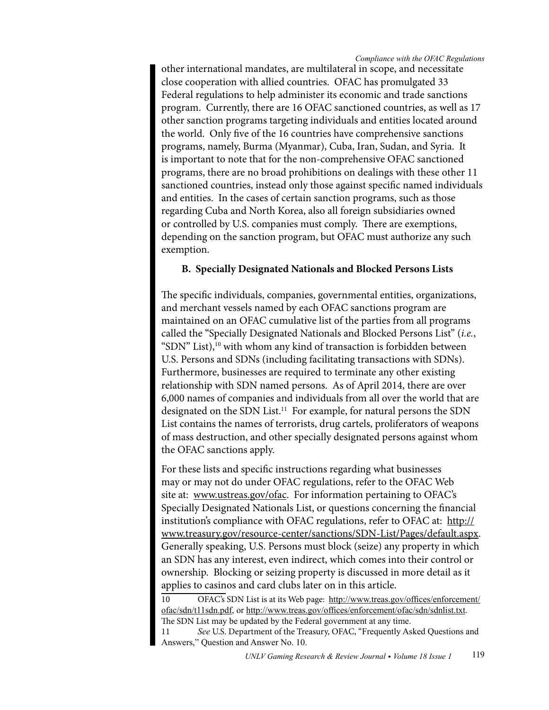other international mandates, are multilateral in scope, and necessitate close cooperation with allied countries. OFAC has promulgated 33 Federal regulations to help administer its economic and trade sanctions program. Currently, there are 16 OFAC sanctioned countries, as well as 17 other sanction programs targeting individuals and entities located around the world. Only five of the 16 countries have comprehensive sanctions programs, namely, Burma (Myanmar), Cuba, Iran, Sudan, and Syria. It is important to note that for the non-comprehensive OFAC sanctioned programs, there are no broad prohibitions on dealings with these other 11 sanctioned countries, instead only those against specific named individuals and entities. In the cases of certain sanction programs, such as those regarding Cuba and North Korea, also all foreign subsidiaries owned or controlled by U.S. companies must comply. There are exemptions, depending on the sanction program, but OFAC must authorize any such exemption.

#### **B. Specially Designated Nationals and Blocked Persons Lists**

The specific individuals, companies, governmental entities, organizations, and merchant vessels named by each OFAC sanctions program are maintained on an OFAC cumulative list of the parties from all programs called the "Specially Designated Nationals and Blocked Persons List" (*i.e.*, "SDN" List), $10$  with whom any kind of transaction is forbidden between U.S. Persons and SDNs (including facilitating transactions with SDNs). Furthermore, businesses are required to terminate any other existing relationship with SDN named persons. As of April 2014, there are over 6,000 names of companies and individuals from all over the world that are designated on the SDN List.<sup>11</sup> For example, for natural persons the SDN List contains the names of terrorists, drug cartels, proliferators of weapons of mass destruction, and other specially designated persons against whom the OFAC sanctions apply.

For these lists and specific instructions regarding what businesses may or may not do under OFAC regulations, refer to the OFAC Web site at: [www.ustreas.gov/ofac.](http://www.ustreas.gov/ofac) For information pertaining to OFAC's Specially Designated Nationals List, or questions concerning the financial institution's compliance with OFAC regulations, refer to OFAC at: [http://](http://www.treasury.gov/resource-center/sanctions/SDN-List/Pages/default.aspx) [www.treasury.gov/resource-center/sanctions/SDN-List/Pages/default.aspx.](http://www.treasury.gov/resource-center/sanctions/SDN-List/Pages/default.aspx) Generally speaking, U.S. Persons must block (seize) any property in which an SDN has any interest, even indirect, which comes into their control or ownership. Blocking or seizing property is discussed in more detail as it applies to casinos and card clubs later on in this article.

10 OFAC's SDN List is at its Web page: [http://www.treas.gov/offices/enforcement/](http://www.treas.gov/offices/enforcement/ofac/sdn/t11sdn.pdf) [ofac/sdn/t11sdn.pdf,](http://www.treas.gov/offices/enforcement/ofac/sdn/t11sdn.pdf) or <http://www.treas.gov/offices/enforcement/ofac/sdn/sdnlist.txt>. The SDN List may be updated by the Federal government at any time.

11 *See* U.S. Department of the Treasury, OFAC, "Frequently Asked Questions and Answers," Question and Answer No. 10.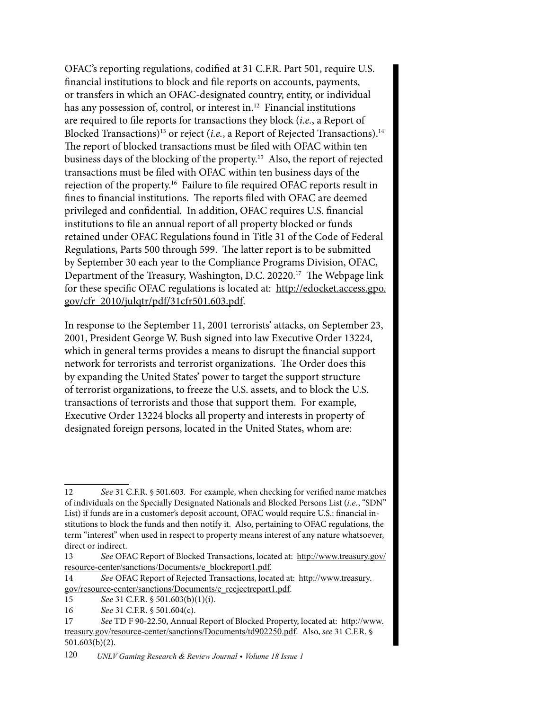OFAC's reporting regulations, codified at 31 C.F.R. Part 501, require U.S. financial institutions to block and file reports on accounts, payments, or transfers in which an OFAC-designated country, entity, or individual has any possession of, control, or interest in.<sup>12</sup> Financial institutions are required to file reports for transactions they block (*i.e.*, a Report of Blocked Transactions)<sup>13</sup> or reject (*i.e.*, a Report of Rejected Transactions).<sup>14</sup> The report of blocked transactions must be filed with OFAC within ten business days of the blocking of the property.15 Also, the report of rejected transactions must be filed with OFAC within ten business days of the rejection of the property.16 Failure to file required OFAC reports result in fines to financial institutions. The reports filed with OFAC are deemed privileged and confidential. In addition, OFAC requires U.S. financial institutions to file an annual report of all property blocked or funds retained under OFAC Regulations found in Title 31 of the Code of Federal Regulations, Parts 500 through 599. The latter report is to be submitted by September 30 each year to the Compliance Programs Division, OFAC, Department of the Treasury, Washington, D.C. 20220.<sup>17</sup> The Webpage link for these specific OFAC regulations is located at: [http://edocket.access.gpo.](http://edocket.access.gpo.gov/cfr_2010/julqtr/pdf/31cfr501.603.pdf) [gov/cfr\\_2010/julqtr/pdf/31cfr501.603.pdf.](http://edocket.access.gpo.gov/cfr_2010/julqtr/pdf/31cfr501.603.pdf)

In response to the September 11, 2001 terrorists' attacks, on September 23, 2001, President George W. Bush signed into law Executive Order 13224, which in general terms provides a means to disrupt the financial support network for terrorists and terrorist organizations. The Order does this by expanding the United States' power to target the support structure of terrorist organizations, to freeze the U.S. assets, and to block the U.S. transactions of terrorists and those that support them. For example, Executive Order 13224 blocks all property and interests in property of designated foreign persons, located in the United States, whom are:

<sup>12</sup> *See* 31 C.F.R. § 501.603. For example, when checking for verified name matches of individuals on the Specially Designated Nationals and Blocked Persons List (*i.e.*, "SDN" List) if funds are in a customer's deposit account, OFAC would require U.S.: financial institutions to block the funds and then notify it. Also, pertaining to OFAC regulations, the term "interest" when used in respect to property means interest of any nature whatsoever, direct or indirect.

<sup>13</sup> *See* OFAC Report of Blocked Transactions, located at: [http://www.treasury.gov/](http://www.treasury.gov/resource-center/sanctions/Documents/e_blockreport1.pdf) [resource-center/sanctions/Documents/e\\_blockreport1.pdf](http://www.treasury.gov/resource-center/sanctions/Documents/e_blockreport1.pdf).

<sup>14</sup> *See* OFAC Report of Rejected Transactions, located at: [http://www.treasury.](http://www.treasury.gov/resource-center/sanctions/Documents/e_recjectreport1.pdf) [gov/resource-center/sanctions/Documents/e\\_recjectreport1.pdf](http://www.treasury.gov/resource-center/sanctions/Documents/e_recjectreport1.pdf).

<sup>15</sup> *See* 31 C.F.R. § 501.603(b)(1)(i).

<sup>16</sup> *See* 31 C.F.R. § 501.604(c).

<sup>17</sup> *See* TD F 90-22.50, Annual Report of Blocked Property, located at: [http://www.](http://www.treasury.gov/resource-center/sanctions/Documents/td902250.pdf) [treasury.gov/resource-center/sanctions/Documents/td902250.pdf](http://www.treasury.gov/resource-center/sanctions/Documents/td902250.pdf). Also, *see* 31 C.F.R. § 501.603(b)(2).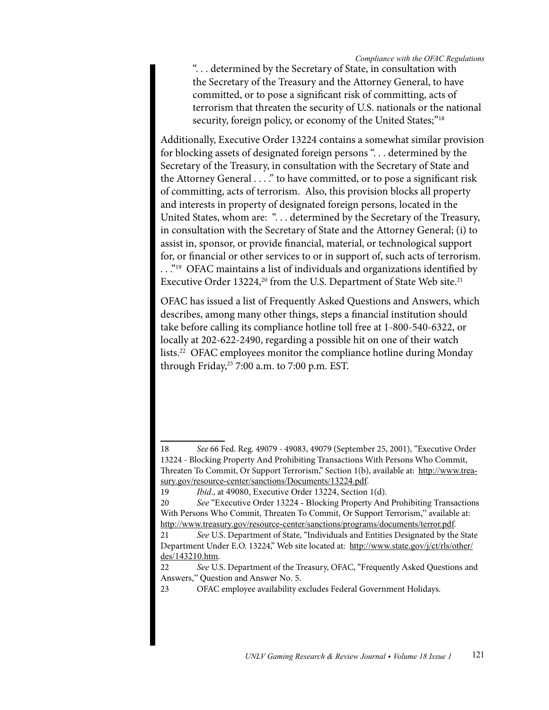". . . determined by the Secretary of State, in consultation with the Secretary of the Treasury and the Attorney General, to have committed, or to pose a significant risk of committing, acts of terrorism that threaten the security of U.S. nationals or the national security, foreign policy, or economy of the United States;"<sup>18</sup>

Additionally, Executive Order 13224 contains a somewhat similar provision for blocking assets of designated foreign persons ". . . determined by the Secretary of the Treasury, in consultation with the Secretary of State and the Attorney General . . . ." to have committed, or to pose a significant risk of committing, acts of terrorism. Also, this provision blocks all property and interests in property of designated foreign persons, located in the United States, whom are: "... determined by the Secretary of the Treasury, in consultation with the Secretary of State and the Attorney General; (i) to assist in, sponsor, or provide financial, material, or technological support for, or financial or other services to or in support of, such acts of terrorism. ..."<sup>19</sup> OFAC maintains a list of individuals and organizations identified by Executive Order 13224,<sup>20</sup> from the U.S. Department of State Web site.<sup>21</sup>

OFAC has issued a list of Frequently Asked Questions and Answers, which describes, among many other things, steps a financial institution should take before calling its compliance hotline toll free at 1-800-540-6322, or locally at 202-622-2490, regarding a possible hit on one of their watch lists.22 OFAC employees monitor the compliance hotline during Monday through Friday,23 7:00 a.m. to 7:00 p.m. EST.

<sup>18</sup> *See* 66 Fed. Reg. 49079 - 49083, 49079 (September 25, 2001), "Executive Order 13224 - Blocking Property And Prohibiting Transactions With Persons Who Commit, Threaten To Commit, Or Support Terrorism," Section 1(b), available at: [http://www.trea](http://www.treasury.gov/resource-center/sanctions/Documents/13224.pdf)[sury.gov/resource-center/sanctions/Documents/13224.pdf](http://www.treasury.gov/resource-center/sanctions/Documents/13224.pdf).

<sup>19</sup> *Ibid*., at 49080, Executive Order 13224, Section 1(d).

<sup>20</sup> *See* "Executive Order 13224 - Blocking Property And Prohibiting Transactions With Persons Who Commit, Threaten To Commit, Or Support Terrorism," available at: <http://www.treasury.gov/resource-center/sanctions/programs/documents/terror.pdf>.

<sup>21</sup> *See* U.S. Department of State, "Individuals and Entities Designated by the State Department Under E.O. 13224," Web site located at: [http://www.state.gov/j/ct/rls/other/](http://www.state.gov/j/ct/rls/other/des/143210.htm) [des/143210.htm](http://www.state.gov/j/ct/rls/other/des/143210.htm).

<sup>22</sup> *See* U.S. Department of the Treasury, OFAC, "Frequently Asked Questions and Answers," Question and Answer No. 5.

<sup>23</sup> OFAC employee availability excludes Federal Government Holidays.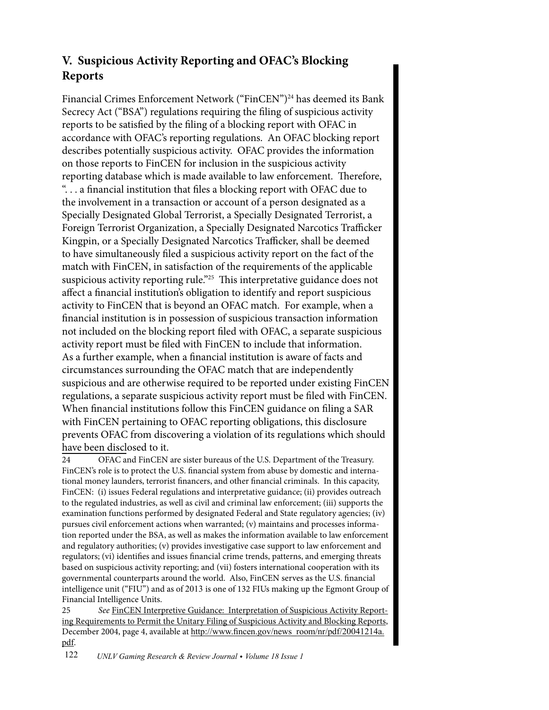# **V. Suspicious Activity Reporting and OFAC's Blocking Reports**

Financial Crimes Enforcement Network ("FinCEN")<sup>24</sup> has deemed its Bank Secrecy Act ("BSA") regulations requiring the filing of suspicious activity reports to be satisfied by the filing of a blocking report with OFAC in accordance with OFAC's reporting regulations. An OFAC blocking report describes potentially suspicious activity. OFAC provides the information on those reports to FinCEN for inclusion in the suspicious activity reporting database which is made available to law enforcement. Therefore, ". . . a financial institution that files a blocking report with OFAC due to the involvement in a transaction or account of a person designated as a Specially Designated Global Terrorist, a Specially Designated Terrorist, a Foreign Terrorist Organization, a Specially Designated Narcotics Trafficker Kingpin, or a Specially Designated Narcotics Trafficker, shall be deemed to have simultaneously filed a suspicious activity report on the fact of the match with FinCEN, in satisfaction of the requirements of the applicable suspicious activity reporting rule."<sup>25</sup> This interpretative guidance does not affect a financial institution's obligation to identify and report suspicious activity to FinCEN that is beyond an OFAC match. For example, when a financial institution is in possession of suspicious transaction information not included on the blocking report filed with OFAC, a separate suspicious activity report must be filed with FinCEN to include that information. As a further example, when a financial institution is aware of facts and circumstances surrounding the OFAC match that are independently suspicious and are otherwise required to be reported under existing FinCEN regulations, a separate suspicious activity report must be filed with FinCEN. When financial institutions follow this FinCEN guidance on filing a SAR with FinCEN pertaining to OFAC reporting obligations, this disclosure prevents OFAC from discovering a violation of its regulations which should have been disclosed to it.

24 OFAC and FinCEN are sister bureaus of the U.S. Department of the Treasury. FinCEN's role is to protect the U.S. financial system from abuse by domestic and international money launders, terrorist financers, and other financial criminals. In this capacity, FinCEN: (i) issues Federal regulations and interpretative guidance; (ii) provides outreach to the regulated industries, as well as civil and criminal law enforcement; (iii) supports the examination functions performed by designated Federal and State regulatory agencies; (iv) pursues civil enforcement actions when warranted; (v) maintains and processes information reported under the BSA, as well as makes the information available to law enforcement and regulatory authorities; (v) provides investigative case support to law enforcement and regulators; (vi) identifies and issues financial crime trends, patterns, and emerging threats based on suspicious activity reporting; and (vii) fosters international cooperation with its governmental counterparts around the world. Also, FinCEN serves as the U.S. financial intelligence unit ("FIU") and as of 2013 is one of 132 FIUs making up the Egmont Group of Financial Intelligence Units.

25 *See* FinCEN Interpretive Guidance: Interpretation of Suspicious Activity Reporting Requirements to Permit the Unitary Filing of Suspicious Activity and Blocking Reports, December 2004, page 4, available at [http://www.fincen.gov/news\\_room/nr/pdf/20041214a.](http://www.fincen.gov/news_room/nr/pdf/20041214a.pdf) [pdf](http://www.fincen.gov/news_room/nr/pdf/20041214a.pdf).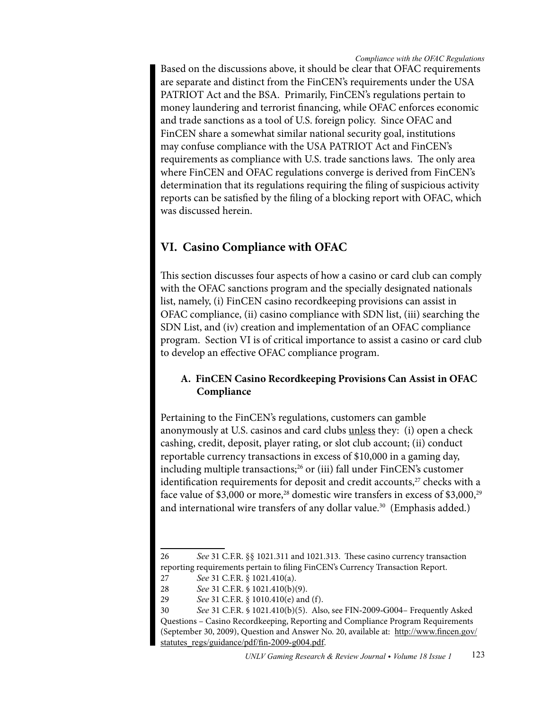Based on the discussions above, it should be clear that OFAC requirements are separate and distinct from the FinCEN's requirements under the USA PATRIOT Act and the BSA. Primarily, FinCEN's regulations pertain to money laundering and terrorist financing, while OFAC enforces economic and trade sanctions as a tool of U.S. foreign policy. Since OFAC and FinCEN share a somewhat similar national security goal, institutions may confuse compliance with the USA PATRIOT Act and FinCEN's requirements as compliance with U.S. trade sanctions laws. The only area where FinCEN and OFAC regulations converge is derived from FinCEN's determination that its regulations requiring the filing of suspicious activity reports can be satisfied by the filing of a blocking report with OFAC, which was discussed herein.

## **VI. Casino Compliance with OFAC**

This section discusses four aspects of how a casino or card club can comply with the OFAC sanctions program and the specially designated nationals list, namely, (i) FinCEN casino recordkeeping provisions can assist in OFAC compliance, (ii) casino compliance with SDN list, (iii) searching the SDN List, and (iv) creation and implementation of an OFAC compliance program. Section VI is of critical importance to assist a casino or card club to develop an effective OFAC compliance program.

## **A. FinCEN Casino Recordkeeping Provisions Can Assist in OFAC Compliance**

Pertaining to the FinCEN's regulations, customers can gamble anonymously at U.S. casinos and card clubs <u>unless</u> they: (i) open a check cashing, credit, deposit, player rating, or slot club account; (ii) conduct reportable currency transactions in excess of \$10,000 in a gaming day, including multiple transactions;<sup>26</sup> or (iii) fall under FinCEN's customer identification requirements for deposit and credit accounts, $27$  checks with a face value of \$3,000 or more,<sup>28</sup> domestic wire transfers in excess of \$3,000,<sup>29</sup> and international wire transfers of any dollar value.<sup>30</sup> (Emphasis added.)

<sup>26</sup> *See* 31 C.F.R. §§ 1021.311 and 1021.313. These casino currency transaction reporting requirements pertain to filing FinCEN's Currency Transaction Report.

<sup>27</sup> *See* 31 C.F.R. § 1021.410(a).

<sup>28</sup> *See* 31 C.F.R. § 1021.410(b)(9).

<sup>29</sup> *See* 31 C.F.R. § 1010.410(e) and (f).

<sup>30</sup> *See* 31 C.F.R. § 1021.410(b)(5). Also, see FIN-2009-G004– Frequently Asked Questions – Casino Recordkeeping, Reporting and Compliance Program Requirements (September 30, 2009), Question and Answer No. 20, available at: [http://www.fincen.gov/](http://www.fincen.gov/statutes_regs/guidance/pdf/fin-2009-g004.pdf) [statutes\\_regs/guidance/pdf/fin-2009-g004.pdf](http://www.fincen.gov/statutes_regs/guidance/pdf/fin-2009-g004.pdf).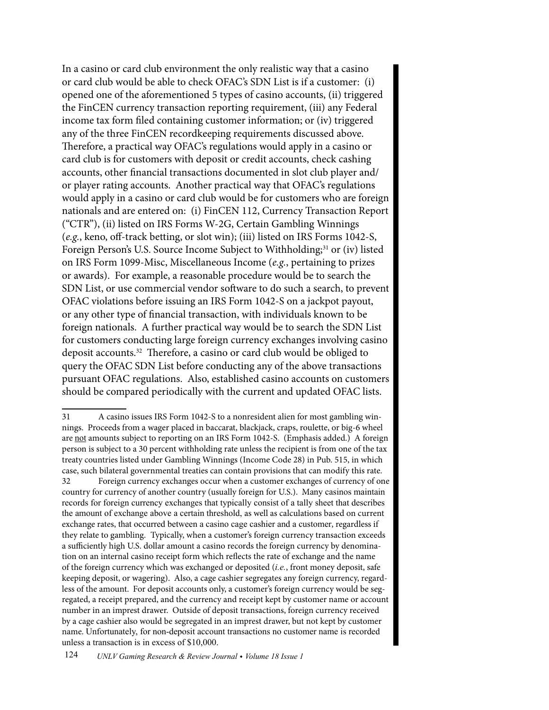In a casino or card club environment the only realistic way that a casino or card club would be able to check OFAC's SDN List is if a customer: (i) opened one of the aforementioned 5 types of casino accounts, (ii) triggered the FinCEN currency transaction reporting requirement, (iii) any Federal income tax form filed containing customer information; or (iv) triggered any of the three FinCEN recordkeeping requirements discussed above. Therefore, a practical way OFAC's regulations would apply in a casino or card club is for customers with deposit or credit accounts, check cashing accounts, other financial transactions documented in slot club player and/ or player rating accounts. Another practical way that OFAC's regulations would apply in a casino or card club would be for customers who are foreign nationals and are entered on: (i) FinCEN 112, Currency Transaction Report ("CTR"), (ii) listed on IRS Forms W-2G, Certain Gambling Winnings (*e.g.*, keno, off-track betting, or slot win); (iii) listed on IRS Forms 1042-S, Foreign Person's U.S. Source Income Subject to Withholding;<sup>31</sup> or (iv) listed on IRS Form 1099-Misc, Miscellaneous Income (*e.g.*, pertaining to prizes or awards). For example, a reasonable procedure would be to search the SDN List, or use commercial vendor software to do such a search, to prevent OFAC violations before issuing an IRS Form 1042-S on a jackpot payout, or any other type of financial transaction, with individuals known to be foreign nationals. A further practical way would be to search the SDN List for customers conducting large foreign currency exchanges involving casino deposit accounts.<sup>32</sup> Therefore, a casino or card club would be obliged to query the OFAC SDN List before conducting any of the above transactions pursuant OFAC regulations. Also, established casino accounts on customers should be compared periodically with the current and updated OFAC lists.

<sup>31</sup> A casino issues IRS Form 1042-S to a nonresident alien for most gambling winnings. Proceeds from a wager placed in baccarat, blackjack, craps, roulette, or big-6 wheel are not amounts subject to reporting on an IRS Form 1042-S. (Emphasis added.) A foreign person is subject to a 30 percent withholding rate unless the recipient is from one of the tax treaty countries listed under Gambling Winnings (Income Code 28) in Pub. 515, in which case, such bilateral governmental treaties can contain provisions that can modify this rate. 32 Foreign currency exchanges occur when a customer exchanges of currency of one country for currency of another country (usually foreign for U.S.). Many casinos maintain records for foreign currency exchanges that typically consist of a tally sheet that describes the amount of exchange above a certain threshold, as well as calculations based on current exchange rates, that occurred between a casino cage cashier and a customer, regardless if they relate to gambling. Typically, when a customer's foreign currency transaction exceeds a sufficiently high U.S. dollar amount a casino records the foreign currency by denomination on an internal casino receipt form which reflects the rate of exchange and the name of the foreign currency which was exchanged or deposited (*i.e.*, front money deposit, safe keeping deposit, or wagering). Also, a cage cashier segregates any foreign currency, regardless of the amount. For deposit accounts only, a customer's foreign currency would be segregated, a receipt prepared, and the currency and receipt kept by customer name or account number in an imprest drawer. Outside of deposit transactions, foreign currency received by a cage cashier also would be segregated in an imprest drawer, but not kept by customer name. Unfortunately, for non-deposit account transactions no customer name is recorded unless a transaction is in excess of \$10,000.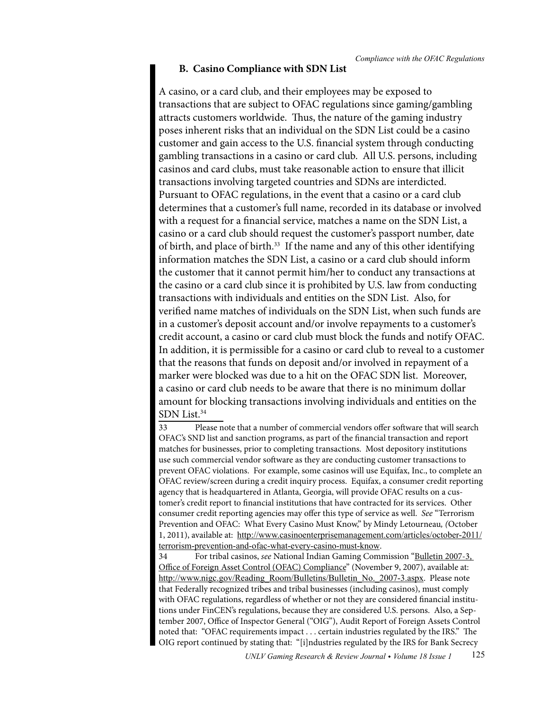#### **B. Casino Compliance with SDN List**

A casino, or a card club, and their employees may be exposed to transactions that are subject to OFAC regulations since gaming/gambling attracts customers worldwide. Thus, the nature of the gaming industry poses inherent risks that an individual on the SDN List could be a casino customer and gain access to the U.S. financial system through conducting gambling transactions in a casino or card club. All U.S. persons, including casinos and card clubs, must take reasonable action to ensure that illicit transactions involving targeted countries and SDNs are interdicted. Pursuant to OFAC regulations, in the event that a casino or a card club determines that a customer's full name, recorded in its database or involved with a request for a financial service, matches a name on the SDN List, a casino or a card club should request the customer's passport number, date of birth, and place of birth.<sup>33</sup> If the name and any of this other identifying information matches the SDN List, a casino or a card club should inform the customer that it cannot permit him/her to conduct any transactions at the casino or a card club since it is prohibited by U.S. law from conducting transactions with individuals and entities on the SDN List. Also, for verified name matches of individuals on the SDN List, when such funds are in a customer's deposit account and/or involve repayments to a customer's credit account, a casino or card club must block the funds and notify OFAC. In addition, it is permissible for a casino or card club to reveal to a customer that the reasons that funds on deposit and/or involved in repayment of a marker were blocked was due to a hit on the OFAC SDN list. Moreover, a casino or card club needs to be aware that there is no minimum dollar amount for blocking transactions involving individuals and entities on the SDN List.<sup>34</sup>

33 Please note that a number of commercial vendors offer software that will search OFAC's SND list and sanction programs, as part of the financial transaction and report matches for businesses, prior to completing transactions. Most depository institutions use such commercial vendor software as they are conducting customer transactions to prevent OFAC violations. For example, some casinos will use Equifax, Inc., to complete an OFAC review/screen during a credit inquiry process. Equifax, a consumer credit reporting agency that is headquartered in Atlanta, Georgia, will provide OFAC results on a customer's credit report to financial institutions that have contracted for its services. Other consumer credit reporting agencies may offer this type of service as well. *See* "Terrorism Prevention and OFAC: What Every Casino Must Know," by Mindy Letourneau*, (*October 1, 2011), available at: [http://www.casinoenterprisemanagement.com/articles/october-2011/](http://www.casinoenterprisemanagement.com/articles/october-2011/terrorism-prevention-and-ofac-what-every-casino-must-know) [terrorism-prevention-and-ofac-what-every-casino-must-know](http://www.casinoenterprisemanagement.com/articles/october-2011/terrorism-prevention-and-ofac-what-every-casino-must-know).

34 For tribal casinos, *see* National Indian Gaming Commission "Bulletin 2007-3, Office of Foreign Asset Control (OFAC) Compliance" (November 9, 2007), available at: [http://www.nigc.gov/Reading\\_Room/Bulletins/Bulletin\\_No.\\_2007-3.aspx](http://www.nigc.gov/Reading_Room/Bulletins/Bulletin_No._2007-3.aspx). Please note that Federally recognized tribes and tribal businesses (including casinos), must comply with OFAC regulations, regardless of whether or not they are considered financial institutions under FinCEN's regulations, because they are considered U.S. persons. Also, a September 2007, Office of Inspector General ("OIG"), Audit Report of Foreign Assets Control noted that: "OFAC requirements impact . . . certain industries regulated by the IRS." The OIG report continued by stating that: "[i]ndustries regulated by the IRS for Bank Secrecy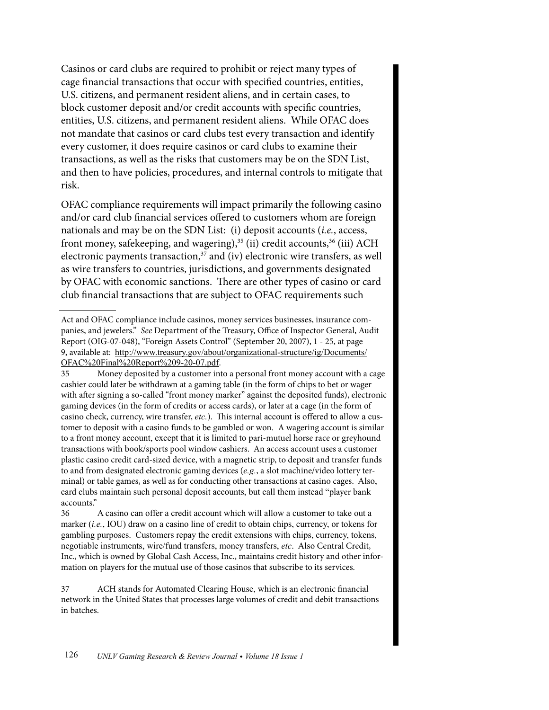Casinos or card clubs are required to prohibit or reject many types of cage financial transactions that occur with specified countries, entities, U.S. citizens, and permanent resident aliens, and in certain cases, to block customer deposit and/or credit accounts with specific countries, entities, U.S. citizens, and permanent resident aliens. While OFAC does not mandate that casinos or card clubs test every transaction and identify every customer, it does require casinos or card clubs to examine their transactions, as well as the risks that customers may be on the SDN List, and then to have policies, procedures, and internal controls to mitigate that risk.

OFAC compliance requirements will impact primarily the following casino and/or card club financial services offered to customers whom are foreign nationals and may be on the SDN List: (i) deposit accounts (*i.e.*, access, front money, safekeeping, and wagering),<sup>35</sup> (ii) credit accounts,<sup>36</sup> (iii) ACH electronic payments transaction, $37$  and (iv) electronic wire transfers, as well as wire transfers to countries, jurisdictions, and governments designated by OFAC with economic sanctions. There are other types of casino or card club financial transactions that are subject to OFAC requirements such

36 A casino can offer a credit account which will allow a customer to take out a marker (*i.e.*, IOU) draw on a casino line of credit to obtain chips, currency, or tokens for gambling purposes. Customers repay the credit extensions with chips, currency, tokens, negotiable instruments, wire/fund transfers, money transfers, *etc*. Also Central Credit, Inc., which is owned by Global Cash Access, Inc., maintains credit history and other information on players for the mutual use of those casinos that subscribe to its services.

37 ACH stands for Automated Clearing House, which is an electronic financial network in the United States that processes large volumes of credit and debit transactions in batches.

Act and OFAC compliance include casinos, money services businesses, insurance companies, and jewelers." *See* Department of the Treasury, Office of Inspector General, Audit Report (OIG-07-048), "Foreign Assets Control" (September 20, 2007), 1 - 25, at page 9, available at: [http://www.treasury.gov/about/organizational-structure/ig/Documents/](http://www.treasury.gov/about/organizational-structure/ig/Documents/OFAC%20Final%20Report%209-20-07.pdf) [OFAC%20Final%20Report%209-20-07.pdf](http://www.treasury.gov/about/organizational-structure/ig/Documents/OFAC%20Final%20Report%209-20-07.pdf).

<sup>35</sup> Money deposited by a customer into a personal front money account with a cage cashier could later be withdrawn at a gaming table (in the form of chips to bet or wager with after signing a so-called "front money marker" against the deposited funds), electronic gaming devices (in the form of credits or access cards), or later at a cage (in the form of casino check, currency, wire transfer, *etc.*). This internal account is offered to allow a customer to deposit with a casino funds to be gambled or won. A wagering account is similar to a front money account, except that it is limited to pari-mutuel horse race or greyhound transactions with book/sports pool window cashiers. An access account uses a customer plastic casino credit card-sized device, with a magnetic strip, to deposit and transfer funds to and from designated electronic gaming devices (*e.g.*, a slot machine/video lottery terminal) or table games, as well as for conducting other transactions at casino cages. Also, card clubs maintain such personal deposit accounts, but call them instead "player bank accounts."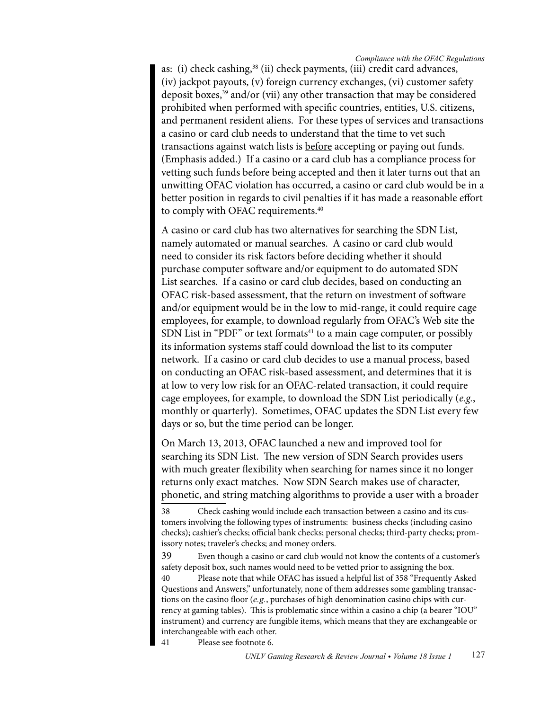as: (i) check cashing,<sup>38</sup> (ii) check payments, (iii) credit card advances, (iv) jackpot payouts, (v) foreign currency exchanges, (vi) customer safety deposit boxes,39 and/or (vii) any other transaction that may be considered prohibited when performed with specific countries, entities, U.S. citizens, and permanent resident aliens. For these types of services and transactions a casino or card club needs to understand that the time to vet such transactions against watch lists is **before** accepting or paying out funds. (Emphasis added.) If a casino or a card club has a compliance process for vetting such funds before being accepted and then it later turns out that an unwitting OFAC violation has occurred, a casino or card club would be in a better position in regards to civil penalties if it has made a reasonable effort to comply with OFAC requirements.<sup>40</sup>

A casino or card club has two alternatives for searching the SDN List, namely automated or manual searches. A casino or card club would need to consider its risk factors before deciding whether it should purchase computer software and/or equipment to do automated SDN List searches. If a casino or card club decides, based on conducting an OFAC risk-based assessment, that the return on investment of software and/or equipment would be in the low to mid-range, it could require cage employees, for example, to download regularly from OFAC's Web site the SDN List in "PDF" or text formats<sup>41</sup> to a main cage computer, or possibly its information systems staff could download the list to its computer network. If a casino or card club decides to use a manual process, based on conducting an OFAC risk-based assessment, and determines that it is at low to very low risk for an OFAC-related transaction, it could require cage employees, for example, to download the SDN List periodically (*e.g.*, monthly or quarterly). Sometimes, OFAC updates the SDN List every few days or so, but the time period can be longer.

On March 13, 2013, OFAC launched a [new and improved tool for](http://www.treasury.gov/resource-center/sanctions/SDN-List/Pages/fuzzy_logic.aspx)  [searching its SDN List](http://www.treasury.gov/resource-center/sanctions/SDN-List/Pages/fuzzy_logic.aspx). The new version of SDN Search provides users with much greater flexibility when searching for names since it no longer returns only exact matches. Now SDN Search makes use of character, phonetic, and string matching algorithms to provide a user with a broader

Please note that while OFAC has issued a helpful list of 358 "Frequently Asked Questions and Answers," unfortunately, none of them addresses some gambling transactions on the casino floor (*e.g.*, purchases of high denomination casino chips with currency at gaming tables). This is problematic since within a casino a chip (a bearer "IOU" instrument) and currency are fungible items, which means that they are exchangeable or interchangeable with each other.

41 Please see footnote 6.

<sup>38</sup> Check cashing would include each transaction between a casino and its customers involving the following types of instruments: business checks (including casino checks); cashier's checks; official bank checks; personal checks; third-party checks; promissory notes; traveler's checks; and money orders.

<sup>39</sup> Even though a casino or card club would not know the contents of a customer's safety deposit box, such names would need to be vetted prior to assigning the box.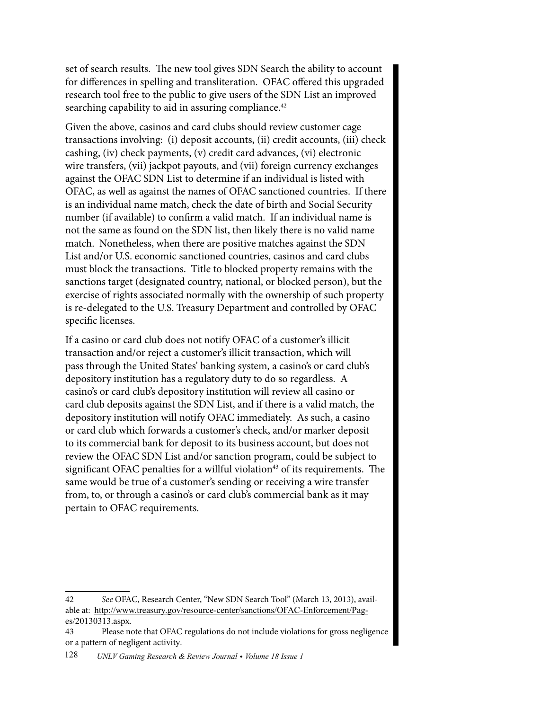set of search results. The new tool gives SDN Search the ability to account for differences in spelling and transliteration. OFAC offered this upgraded research tool free to the public to give users of the SDN List an improved searching capability to aid in assuring compliance.<sup>42</sup>

Given the above, casinos and card clubs should review customer cage transactions involving: (i) deposit accounts, (ii) credit accounts, (iii) check cashing, (iv) check payments, (v) credit card advances, (vi) electronic wire transfers, (vii) jackpot payouts, and (vii) foreign currency exchanges against the OFAC SDN List to determine if an individual is listed with OFAC, as well as against the names of OFAC sanctioned countries. If there is an individual name match, check the date of birth and Social Security number (if available) to confirm a valid match. If an individual name is not the same as found on the SDN list, then likely there is no valid name match. Nonetheless, when there are positive matches against the SDN List and/or U.S. economic sanctioned countries, casinos and card clubs must block the transactions. Title to blocked property remains with the sanctions target (designated country, national, or blocked person), but the exercise of rights associated normally with the ownership of such property is re-delegated to the U.S. Treasury Department and controlled by OFAC specific licenses.

If a casino or card club does not notify OFAC of a customer's illicit transaction and/or reject a customer's illicit transaction, which will pass through the United States' banking system, a casino's or card club's depository institution has a regulatory duty to do so regardless. A casino's or card club's depository institution will review all casino or card club deposits against the SDN List, and if there is a valid match, the depository institution will notify OFAC immediately. As such, a casino or card club which forwards a customer's check, and/or marker deposit to its commercial bank for deposit to its business account, but does not review the OFAC SDN List and/or sanction program, could be subject to significant OFAC penalties for a willful violation<sup>43</sup> of its requirements. The same would be true of a customer's sending or receiving a wire transfer from, to, or through a casino's or card club's commercial bank as it may pertain to OFAC requirements.

<sup>42</sup> *See* OFAC, Research Center, "New SDN Search Tool" (March 13, 2013), available at: [http://www.treasury.gov/resource-center/sanctions/OFAC-Enforcement/Pag](http://www.treasury.gov/resource-center/sanctions/OFAC-Enforcement/Pages/20130313.aspx)[es/20130313.aspx](http://www.treasury.gov/resource-center/sanctions/OFAC-Enforcement/Pages/20130313.aspx).

<sup>43</sup> Please note that OFAC regulations do not include violations for gross negligence or a pattern of negligent activity.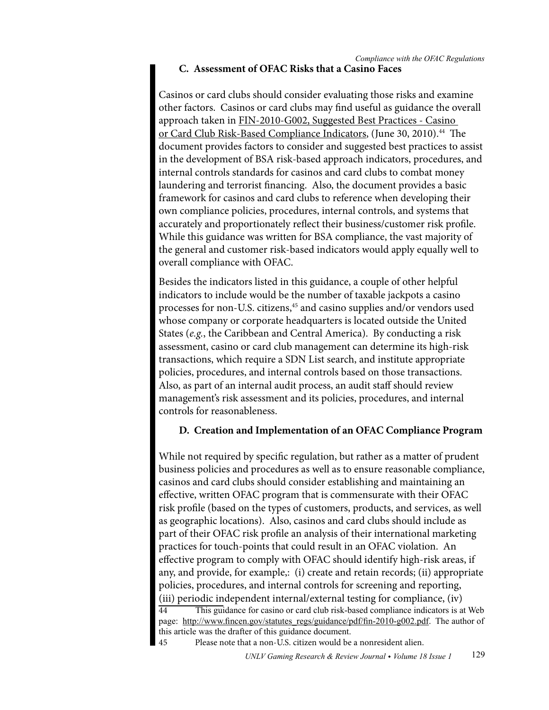## **C. Assessment of OFAC Risks that a Casino Faces**

Casinos or card clubs should consider evaluating those risks and examine other factors. Casinos or card clubs may find useful as guidance the overall approach taken in FIN-2010-G002, Suggested Best Practices - Casino or Card Club Risk-Based Compliance Indicators, (June 30, 2010).<sup>44</sup> The document provides factors to consider and suggested best practices to assist in the development of BSA risk-based approach indicators, procedures, and internal controls standards for casinos and card clubs to combat money laundering and terrorist financing. Also, the document provides a basic framework for casinos and card clubs to reference when developing their own compliance policies, procedures, internal controls, and systems that accurately and proportionately reflect their business/customer risk profile. While this guidance was written for BSA compliance, the vast majority of the general and customer risk-based indicators would apply equally well to overall compliance with OFAC.

Besides the indicators listed in this guidance, a couple of other helpful indicators to include would be the number of taxable jackpots a casino processes for non-U.S. citizens,<sup>45</sup> and casino supplies and/or vendors used whose company or corporate headquarters is located outside the United States (*e.g.*, the Caribbean and Central America). By conducting a risk assessment, casino or card club management can determine its high-risk transactions, which require a SDN List search, and institute appropriate policies, procedures, and internal controls based on those transactions. Also, as part of an internal audit process, an audit staff should review management's risk assessment and its policies, procedures, and internal controls for reasonableness.

## **D. Creation and Implementation of an OFAC Compliance Program**

While not required by specific regulation, but rather as a matter of prudent business policies and procedures as well as to ensure reasonable compliance, casinos and card clubs should consider establishing and maintaining an effective, written OFAC program that is commensurate with their OFAC risk profile (based on the types of customers, products, and services, as well as geographic locations). Also, casinos and card clubs should include as part of their OFAC risk profile an analysis of their international marketing practices for touch-points that could result in an OFAC violation. An effective program to comply with OFAC should identify high-risk areas, if any, and provide, for example,: (i) create and retain records; (ii) appropriate policies, procedures, and internal controls for screening and reporting, (iii) periodic independent internal/external testing for compliance, (iv) 44 This guidance for casino or card club risk-based compliance indicators is at Web page: [http://www.fincen.gov/statutes\\_regs/guidance/pdf/fin-2010-g002.pdf](http://www.fincen.gov/statutes_regs/guidance/pdf/fin-2010-g002.pdf). The author of this article was the drafter of this guidance document.

Please note that a non-U.S. citizen would be a nonresident alien.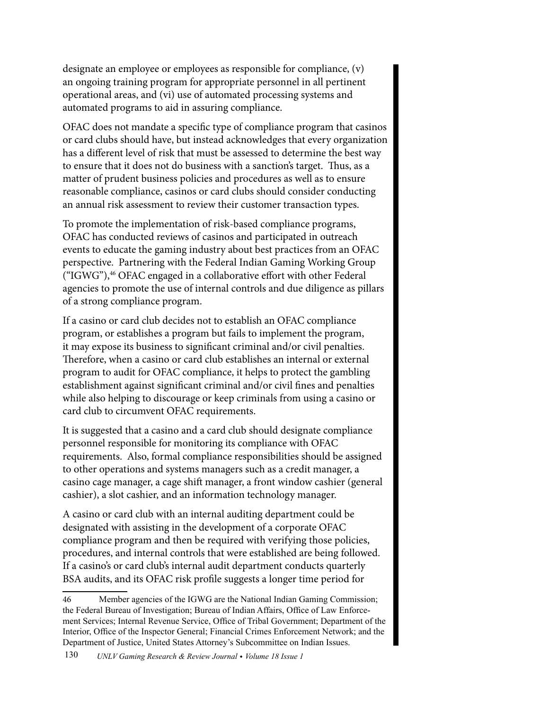designate an employee or employees as responsible for compliance, (v) an ongoing training program for appropriate personnel in all pertinent operational areas, and (vi) use of automated processing systems and automated programs to aid in assuring compliance.

OFAC does not mandate a specific type of compliance program that casinos or card clubs should have, but instead acknowledges that every organization has a different level of risk that must be assessed to determine the best way to ensure that it does not do business with a sanction's target. Thus, as a matter of prudent business policies and procedures as well as to ensure reasonable compliance, casinos or card clubs should consider conducting an annual risk assessment to review their customer transaction types.

To promote the implementation of risk-based compliance programs, OFAC has conducted reviews of casinos and participated in outreach events to educate the gaming industry about best practices from an OFAC perspective. Partnering with the Federal Indian Gaming Working Group ("IGWG"),46 OFAC engaged in a collaborative effort with other Federal agencies to promote the use of internal controls and due diligence as pillars of a strong compliance program.

If a casino or card club decides not to establish an OFAC compliance program, or establishes a program but fails to implement the program, it may expose its business to significant criminal and/or civil penalties. Therefore, when a casino or card club establishes an internal or external program to audit for OFAC compliance, it helps to protect the gambling establishment against significant criminal and/or civil fines and penalties while also helping to discourage or keep criminals from using a casino or card club to circumvent OFAC requirements.

It is suggested that a casino and a card club should designate compliance personnel responsible for monitoring its compliance with OFAC requirements. Also, formal compliance responsibilities should be assigned to other operations and systems managers such as a credit manager, a casino cage manager, a cage shift manager, a front window cashier (general cashier), a slot cashier, and an information technology manager.

A casino or card club with an internal auditing department could be designated with assisting in the development of a corporate OFAC compliance program and then be required with verifying those policies, procedures, and internal controls that were established are being followed. If a casino's or card club's internal audit department conducts quarterly BSA audits, and its OFAC risk profile suggests a longer time period for

<sup>46</sup> Member agencies of the IGWG are the National Indian Gaming Commission; the Federal Bureau of Investigation; Bureau of Indian Affairs, Office of Law Enforcement Services; Internal Revenue Service, Office of Tribal Government; Department of the Interior, Office of the Inspector General; Financial Crimes Enforcement Network; and the Department of Justice, United States Attorney's Subcommittee on Indian Issues.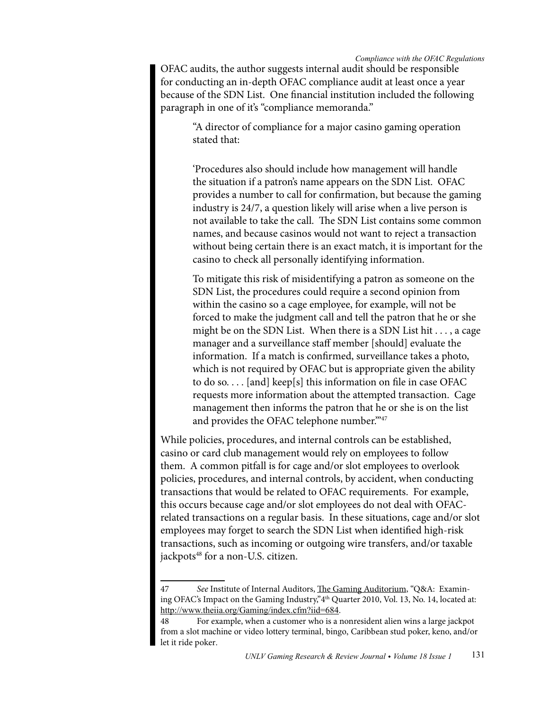OFAC audits, the author suggests internal audit should be responsible for conducting an in-depth OFAC compliance audit at least once a year because of the SDN List. One financial institution included the following paragraph in one of it's "compliance memoranda."

> "A director of compliance for a major casino gaming operation stated that:

'Procedures also should include how management will handle the situation if a patron's name appears on the SDN List. OFAC provides a number to call for confirmation, but because the gaming industry is 24/7, a question likely will arise when a live person is not available to take the call. The SDN List contains some common names, and because casinos would not want to reject a transaction without being certain there is an exact match, it is important for the casino to check all personally identifying information.

To mitigate this risk of misidentifying a patron as someone on the SDN List, the procedures could require a second opinion from within the casino so a cage employee, for example, will not be forced to make the judgment call and tell the patron that he or she might be on the SDN List. When there is a SDN List hit . . . , a cage manager and a surveillance staff member [should] evaluate the information. If a match is confirmed, surveillance takes a photo, which is not required by OFAC but is appropriate given the ability to do so. . . . [and] keep[s] this information on file in case OFAC requests more information about the attempted transaction. Cage management then informs the patron that he or she is on the list and provides the OFAC telephone number."<sup>47</sup>

While policies, procedures, and internal controls can be established, casino or card club management would rely on employees to follow them. A common pitfall is for cage and/or slot employees to overlook policies, procedures, and internal controls, by accident, when conducting transactions that would be related to OFAC requirements. For example, this occurs because cage and/or slot employees do not deal with OFACrelated transactions on a regular basis. In these situations, cage and/or slot employees may forget to search the SDN List when identified high-risk transactions, such as incoming or outgoing wire transfers, and/or taxable jackpots<sup>48</sup> for a non-U.S. citizen.

<sup>47</sup> *See* Institute of Internal Auditors, The Gaming Auditorium, "Q&A: Examining OFAC's Impact on the Gaming Industry,"4<sup>th</sup> Quarter 2010, Vol. 13, No. 14, located at: <http://www.theiia.org/Gaming/index.cfm?iid=684>.

<sup>48</sup> For example, when a customer who is a nonresident alien wins a large jackpot from a slot machine or video lottery terminal, bingo, Caribbean stud poker, keno, and/or let it ride poker.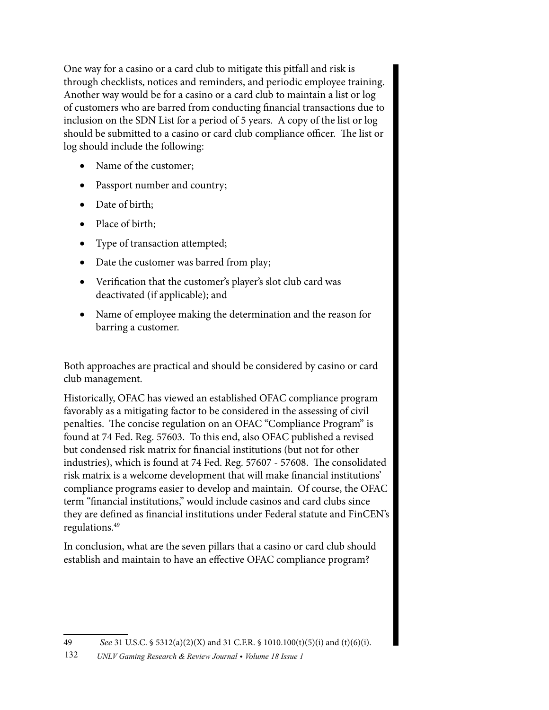One way for a casino or a card club to mitigate this pitfall and risk is through checklists, notices and reminders, and periodic employee training. Another way would be for a casino or a card club to maintain a list or log of customers who are barred from conducting financial transactions due to inclusion on the SDN List for a period of 5 years. A copy of the list or log should be submitted to a casino or card club compliance officer. The list or log should include the following:

- Name of the customer;
- Passport number and country;
- Date of birth;
- Place of birth;
- Type of transaction attempted;
- Date the customer was barred from play;
- Verification that the customer's player's slot club card was deactivated (if applicable); and
- Name of employee making the determination and the reason for barring a customer.

Both approaches are practical and should be considered by casino or card club management.

Historically, OFAC has viewed an established OFAC compliance program favorably as a mitigating factor to be considered in the assessing of civil penalties. The concise regulation on an OFAC "Compliance Program" is found at 74 Fed. Reg. 57603. To this end, also OFAC published a revised but condensed risk matrix for financial institutions (but not for other industries), which is found at 74 Fed. Reg. 57607 - 57608. The consolidated risk matrix is a welcome development that will make financial institutions' compliance programs easier to develop and maintain. Of course, the OFAC term "financial institutions," would include casinos and card clubs since they are defined as financial institutions under Federal statute and FinCEN's regulations.49

In conclusion, what are the seven pillars that a casino or card club should establish and maintain to have an effective OFAC compliance program?

<sup>49</sup> *See* 31 U.S.C. § 5312(a)(2)(X) and 31 C.F.R. § 1010.100(t)(5)(i) and (t)(6)(i).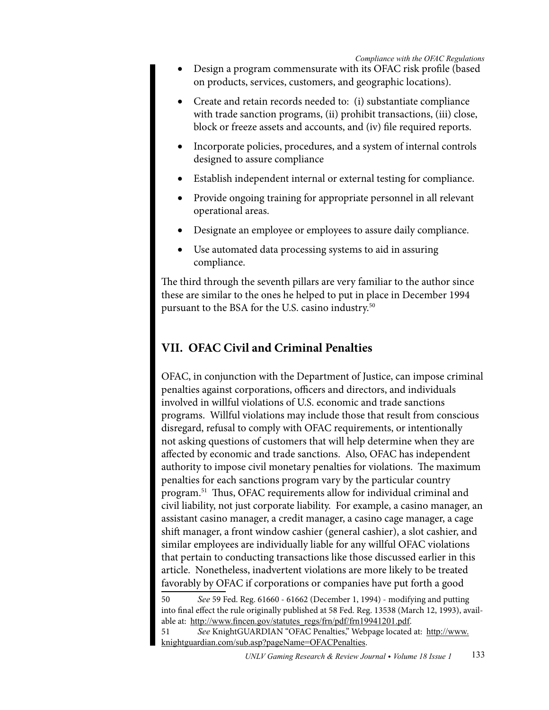- Design a program commensurate with its OFAC risk profile (based on products, services, customers, and geographic locations).
- Create and retain records needed to: (i) substantiate compliance with trade sanction programs, (ii) prohibit transactions, (iii) close, block or freeze assets and accounts, and (iv) file required reports.
- Incorporate policies, procedures, and a system of internal controls designed to assure compliance
- Establish independent internal or external testing for compliance.
- Provide ongoing training for appropriate personnel in all relevant operational areas.
- Designate an employee or employees to assure daily compliance.
- Use automated data processing systems to aid in assuring compliance.

The third through the seventh pillars are very familiar to the author since these are similar to the ones he helped to put in place in December 1994 pursuant to the BSA for the U.S. casino industry.50

# **VII. OFAC Civil and Criminal Penalties**

OFAC, in conjunction with the Department of Justice, can impose criminal penalties against corporations, officers and directors, and individuals involved in willful violations of U.S. economic and trade sanctions programs. Willful violations may include those that result from conscious disregard, refusal to comply with OFAC requirements, or intentionally not asking questions of customers that will help determine when they are affected by economic and trade sanctions. Also, OFAC has independent authority to impose civil monetary penalties for violations. The maximum penalties for each sanctions program vary by the particular country program.51 Thus, OFAC requirements allow for individual criminal and civil liability, not just corporate liability. For example, a casino manager, an assistant casino manager, a credit manager, a casino cage manager, a cage shift manager, a front window cashier (general cashier), a slot cashier, and similar employees are individually liable for any willful OFAC violations that pertain to conducting transactions like those discussed earlier in this article. Nonetheless, inadvertent violations are more likely to be treated favorably by OFAC if corporations or companies have put forth a good

50 *See* 59 Fed. Reg. 61660 - 61662 (December 1, 1994) - modifying and putting into final effect the rule originally published at 58 Fed. Reg. 13538 (March 12, 1993), available at: [http://www.fincen.gov/statutes\\_regs/frn/pdf/frn19941201.pdf](http://www.fincen.gov/statutes_regs/frn/pdf/frn19941201.pdf).

<sup>51</sup> *See* KnightGUARDIAN "OFAC Penalties," Webpage located at: [http://www.](http://www.knightguardian.com/sub.asp?pageName=OFACPenalties) [knightguardian.com/sub.asp?pageName=OFACPenalties](http://www.knightguardian.com/sub.asp?pageName=OFACPenalties).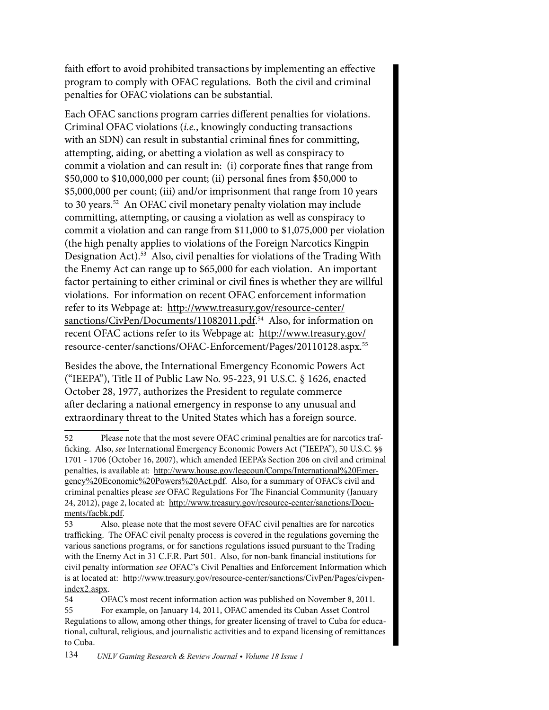faith effort to avoid prohibited transactions by implementing an effective program to comply with OFAC regulations. Both the civil and criminal penalties for OFAC violations can be substantial.

Each OFAC sanctions program carries different penalties for violations. Criminal OFAC violations (*i.e.*, knowingly conducting transactions with an SDN) can result in substantial criminal fines for committing, attempting, aiding, or abetting a violation as well as conspiracy to commit a violation and can result in: (i) corporate fines that range from \$50,000 to \$10,000,000 per count; (ii) personal fines from \$50,000 to \$5,000,000 per count; (iii) and/or imprisonment that range from 10 years to 30 years.52An OFAC civil monetary penalty violation may include committing, attempting, or causing a violation as well as conspiracy to commit a violation and can range from \$11,000 to \$1,075,000 per violation (the high penalty applies to violations of the Foreign Narcotics Kingpin Designation Act).53 Also, civil penalties for violations of the Trading With the Enemy Act can range up to \$65,000 for each violation. An important factor pertaining to either criminal or civil fines is whether they are willful violations. For information on recent OFAC enforcement information refer to its Webpage at: [http://www.treasury.gov/resource-center/](http://www.treasury.gov/resource-center/sanctions/CivPen/Documents/11082011.pdf) [sanctions/CivPen/Documents/11082011.pdf.](http://www.treasury.gov/resource-center/sanctions/CivPen/Documents/11082011.pdf)<sup>54</sup> Also, for information on recent OFAC actions refer to its Webpage at: [http://www.treasury.gov/](http://www.treasury.gov/resource-center/sanctions/OFAC-Enforcement/Pages/20110128.aspx) [resource-center/sanctions/OFAC-Enforcement/Pages/20110128.aspx](http://www.treasury.gov/resource-center/sanctions/OFAC-Enforcement/Pages/20110128.aspx).55

Besides the above, the International Emergency Economic Powers Act ("IEEPA"), Title II of Public Law No. 95-223, 91 U.S.C. § 1626, enacted October 28, 1977, authorizes the President to regulate commerce after declaring a national emergency in response to any unusual and extraordinary threat to the United States which has a foreign source.

53 Also, please note that the most severe OFAC civil penalties are for narcotics trafficking. The OFAC civil penalty process is covered in the regulations governing the various sanctions programs, or for sanctions regulations issued pursuant to the Trading with the Enemy Act in 31 C.F.R. Part 501. Also, for non-bank financial institutions for civil penalty information *see* OFAC's Civil Penalties and Enforcement Information which is at located at: [http://www.treasury.gov/resource-center/sanctions/CivPen/Pages/civpen](http://www.treasury.gov/resource-center/sanctions/CivPen/Pages/civpen-index2.aspx)[index2.aspx](http://www.treasury.gov/resource-center/sanctions/CivPen/Pages/civpen-index2.aspx).

54 OFAC's most recent information action was published on November 8, 2011. 55 For example, on January 14, 2011, OFAC amended its Cuban Asset Control Regulations to allow, among other things, for greater licensing of travel to Cuba for educational, cultural, religious, and journalistic activities and to expand licensing of remittances to Cuba.

<sup>52</sup> Please note that the most severe OFAC criminal penalties are for narcotics trafficking. Also, *see* International Emergency Economic Powers Act ("IEEPA"), 50 U.S.C. §§ 1701 - 1706 (October 16, 2007), which amended IEEPA's Section 206 on civil and criminal penalties, is available at: [http://www.house.gov/legcoun/Comps/International%20Emer](http://www.house.gov/legcoun/Comps/International%20Emergency%20Economic%20Powers%20Act.pdf)[gency%20Economic%20Powers%20Act.pdf](http://www.house.gov/legcoun/Comps/International%20Emergency%20Economic%20Powers%20Act.pdf). Also, for a summary of OFAC's civil and criminal penalties please *see* OFAC Regulations For The Financial Community (January 24, 2012), page 2, located at: [http://www.treasury.gov/resource-center/sanctions/Docu](http://www.treasury.gov/resource-center/sanctions/Documents/facbk.pdf)[ments/facbk.pdf](http://www.treasury.gov/resource-center/sanctions/Documents/facbk.pdf).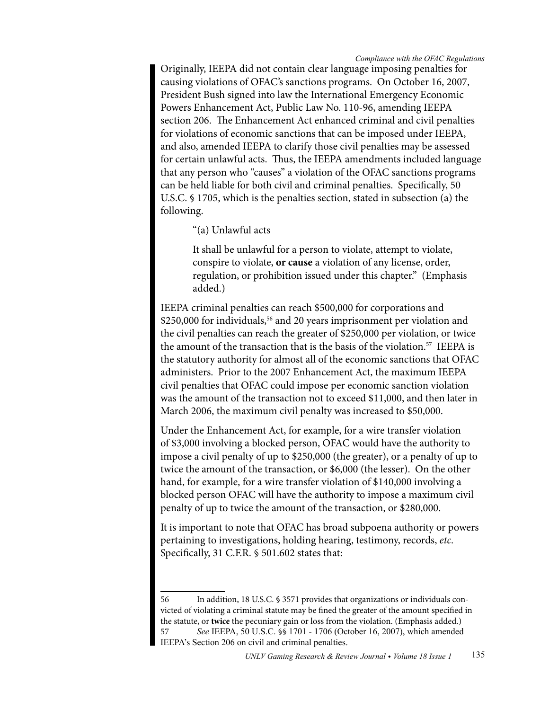Originally, IEEPA did not contain clear language imposing penalties for causing violations of OFAC's sanctions programs. On October 16, 2007, President Bush signed into law the International Emergency Economic Powers Enhancement Act, Public Law No. 110-96, amending IEEPA section 206. The Enhancement Act enhanced criminal and civil penalties for violations of economic sanctions that can be imposed under IEEPA, and also, amended IEEPA to clarify those civil penalties may be assessed for certain unlawful acts. Thus, the IEEPA amendments included language that any person who "causes" a violation of the OFAC sanctions programs can be held liable for both civil and criminal penalties. Specifically, 50 U.S.C. § 1705, which is the penalties section, stated in subsection (a) the following.

"(a) Unlawful acts

It shall be unlawful for a person to violate, attempt to violate, conspire to violate, **or cause** a violation of any license, order, regulation, or prohibition issued under this chapter." (Emphasis added.)

IEEPA criminal penalties can reach \$500,000 for corporations and \$250,000 for individuals,<sup>56</sup> and 20 years imprisonment per violation and the civil penalties can reach the greater of \$250,000 per violation, or twice the amount of the transaction that is the basis of the violation.<sup>57</sup> IEEPA is the statutory authority for almost all of the economic sanctions that OFAC administers. Prior to the 2007 Enhancement Act, the maximum IEEPA civil penalties that OFAC could impose per economic sanction violation was the amount of the transaction not to exceed \$11,000, and then later in March 2006, the maximum civil penalty was increased to \$50,000.

Under the Enhancement Act, for example, for a wire transfer violation of \$3,000 involving a blocked person, OFAC would have the authority to impose a civil penalty of up to \$250,000 (the greater), or a penalty of up to twice the amount of the transaction, or \$6,000 (the lesser). On the other hand, for example, for a wire transfer violation of \$140,000 involving a blocked person OFAC will have the authority to impose a maximum civil penalty of up to twice the amount of the transaction, or \$280,000.

It is important to note that OFAC has broad subpoena authority or powers pertaining to investigations, holding hearing, testimony, records, *etc*. Specifically, 31 C.F.R. § 501.602 states that:

<sup>56</sup> In addition, 18 U.S.C. § 3571 provides that organizations or individuals convicted of violating a criminal statute may be fined the greater of the amount specified in the statute, or **twice** the pecuniary gain or loss from the violation. (Emphasis added.) 57 *See* IEEPA, 50 U.S.C. §§ 1701 - 1706 (October 16, 2007), which amended IEEPA's Section 206 on civil and criminal penalties.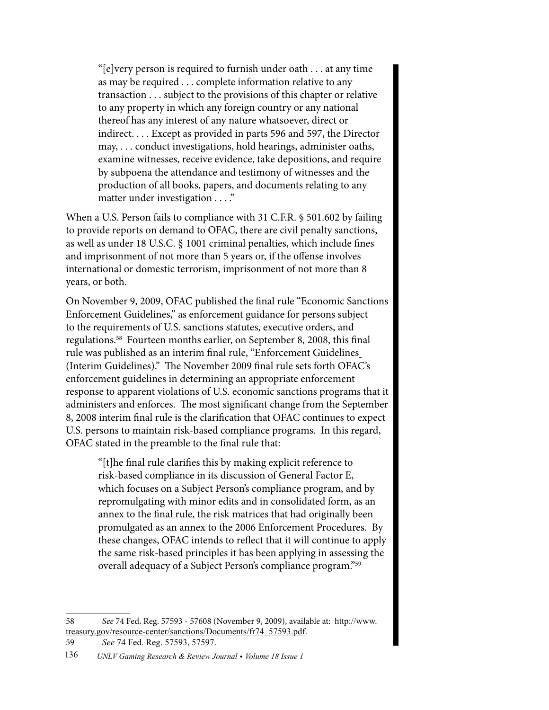"[e]very person is required to furnish under oath . . . at any time as may be required . . . complete information relative to any transaction . . . subject to the provisions of this chapter or relative to any property in which any foreign country or any national thereof has any interest of any nature whatsoever, direct or indirect. . . . Except as provided in parts [596 and 597](http://www.law.cornell.edu/cfr/text/31/596), the Director may, . . . conduct investigations, hold hearings, administer oaths, examine witnesses, receive evidence, take depositions, and require by subpoena the attendance and testimony of witnesses and the production of all books, papers, and documents relating to any matter under investigation . . . ."

When a U.S. Person fails to compliance with 31 C.F.R. § 501.602 by failing to provide reports on demand to OFAC, there are civil penalty sanctions, as well as under 18 U.S.C. § 1001 criminal penalties, which include fines and imprisonment of not more than 5 years or, if the offense involves international or domestic terrorism, imprisonment of not more than 8 years, or both.

On November 9, 2009, OFAC published the final rule "Economic Sanctions Enforcement Guidelines," as enforcement guidance for persons subject to the requirements of U.S. sanctions statutes, executive orders, and regulations.58 Fourteen months earlier, on September 8, 2008, this final rule was published as an interim final rule, "Enforcement Guidelines (Interim Guidelines)." The November 2009 final rule sets forth OFAC's enforcement guidelines in determining an appropriate enforcement response to apparent violations of U.S. economic sanctions programs that it administers and enforces. The most significant change from the September 8, 2008 interim final rule is the clarification that OFAC continues to expect U.S. persons to maintain risk-based compliance programs. In this regard, OFAC stated in the preamble to the final rule that:

"[t]he final rule clarifies this by making explicit reference to risk-based compliance in its discussion of General Factor E, which focuses on a Subject Person's compliance program, and by repromulgating with minor edits and in consolidated form, as an annex to the final rule, the risk matrices that had originally been promulgated as an annex to the 2006 Enforcement Procedures. By these changes, OFAC intends to reflect that it will continue to apply the same risk-based principles it has been applying in assessing the overall adequacy of a Subject Person's compliance program."59

<sup>58</sup> *See* 74 Fed. Reg. 57593 - 57608 (November 9, 2009), available at: [http://www.](http://www.treasury.gov/resource-center/sanctions/Documents/fr74_57593.pdf) [treasury.gov/resource-center/sanctions/Documents/fr74\\_57593.pdf](http://www.treasury.gov/resource-center/sanctions/Documents/fr74_57593.pdf).

<sup>59</sup> *See* 74 Fed. Reg. 57593, 57597.

<sup>136</sup> *UNLV Gaming Research & Review Journal • Volume 18 Issue 1*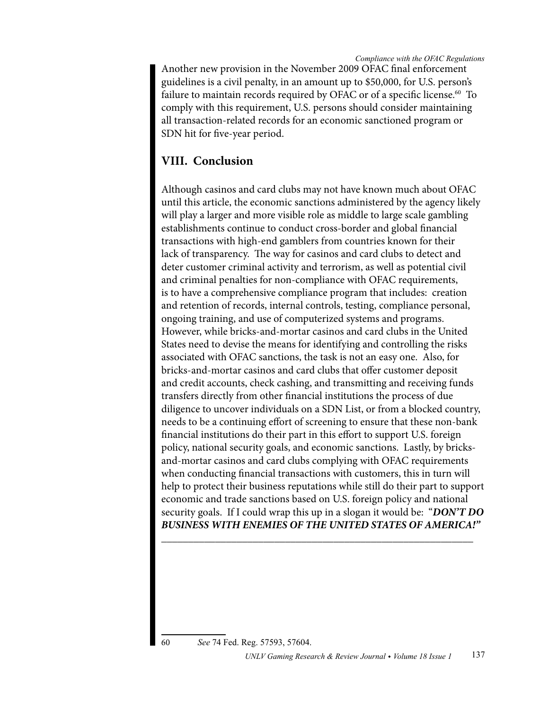Another new provision in the November 2009 OFAC final enforcement guidelines is a civil penalty, in an amount up to \$50,000, for U.S. person's failure to maintain records required by OFAC or of a specific license.<sup>60</sup> To comply with this requirement, U.S. persons should consider maintaining all transaction-related records for an economic sanctioned program or SDN hit for five-year period.

# **VIII. Conclusion**

Although casinos and card clubs may not have known much about OFAC until this article, the economic sanctions administered by the agency likely will play a larger and more visible role as middle to large scale gambling establishments continue to conduct cross-border and global financial transactions with high-end gamblers from countries known for their lack of transparency. The way for casinos and card clubs to detect and deter customer criminal activity and terrorism, as well as potential civil and criminal penalties for non-compliance with OFAC requirements, is to have a comprehensive compliance program that includes: creation and retention of records, internal controls, testing, compliance personal, ongoing training, and use of computerized systems and programs. However, while bricks-and-mortar casinos and card clubs in the United States need to devise the means for identifying and controlling the risks associated with OFAC sanctions, the task is not an easy one. Also, for bricks-and-mortar casinos and card clubs that offer customer deposit and credit accounts, check cashing, and transmitting and receiving funds transfers directly from other financial institutions the process of due diligence to uncover individuals on a SDN List, or from a blocked country, needs to be a continuing effort of screening to ensure that these non-bank financial institutions do their part in this effort to support U.S. foreign policy, national security goals, and economic sanctions. Lastly, by bricksand-mortar casinos and card clubs complying with OFAC requirements when conducting financial transactions with customers, this in turn will help to protect their business reputations while still do their part to support economic and trade sanctions based on U.S. foreign policy and national security goals. If I could wrap this up in a slogan it would be: "*DON'T DO BUSINESS WITH ENEMIES OF THE UNITED STATES OF AMERICA!"*

**\_\_\_\_\_\_\_\_\_\_\_\_\_\_\_\_\_\_\_\_\_\_\_\_\_\_\_\_\_\_\_\_\_\_\_\_\_\_\_\_\_\_\_\_\_\_\_\_\_\_\_\_\_\_\_\_\_\_**